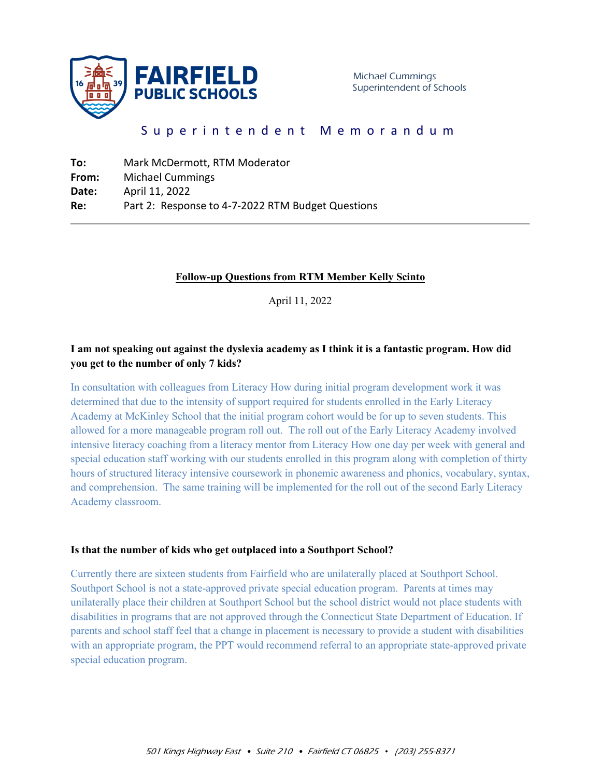

# Superintendent Memorandum

| To:   | Mark McDermott, RTM Moderator                     |
|-------|---------------------------------------------------|
| From: | <b>Michael Cummings</b>                           |
| Date: | April 11, 2022                                    |
| Re:   | Part 2: Response to 4-7-2022 RTM Budget Questions |

#### **Follow-up Questions from RTM Member Kelly Scinto**

April 11, 2022

## **I am not speaking out against the dyslexia academy as I think it is a fantastic program. How did you get to the number of only 7 kids?**

In consultation with colleagues from Literacy How during initial program development work it was determined that due to the intensity of support required for students enrolled in the Early Literacy Academy at McKinley School that the initial program cohort would be for up to seven students. This allowed for a more manageable program roll out. The roll out of the Early Literacy Academy involved intensive literacy coaching from a literacy mentor from Literacy How one day per week with general and special education staff working with our students enrolled in this program along with completion of thirty hours of structured literacy intensive coursework in phonemic awareness and phonics, vocabulary, syntax, and comprehension. The same training will be implemented for the roll out of the second Early Literacy Academy classroom.

#### **Is that the number of kids who get outplaced into a Southport School?**

Currently there are sixteen students from Fairfield who are unilaterally placed at Southport School. Southport School is not a state-approved private special education program. Parents at times may unilaterally place their children at Southport School but the school district would not place students with disabilities in programs that are not approved through the Connecticut State Department of Education. If parents and school staff feel that a change in placement is necessary to provide a student with disabilities with an appropriate program, the PPT would recommend referral to an appropriate state-approved private special education program.